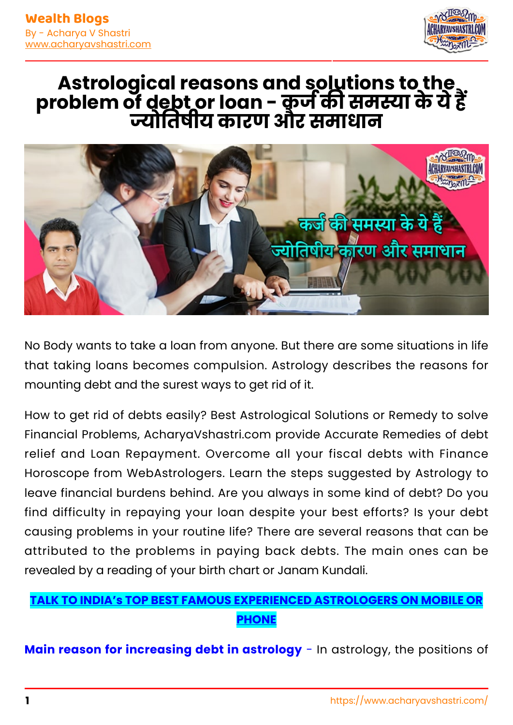

## **Astrological reasons and solutions to the problem of debt or loan - कज क समा के ये ह ोतषीय कारण और समाधान**



No Body wants to take a loan from anyone. But there are some situations in life that taking loans becomes compulsion. Astrology describes the reasons for mounting debt and the surest ways to get rid of it.

How to get rid of debts easily? Best Astrological Solutions or Remedy to solve Financial Problems, AcharyaVshastri.com provide Accurate Remedies of debt relief and Loan Repayment. Overcome all your fiscal debts with Finance Horoscope from WebAstrologers. Learn the steps suggested by Astrology to leave financial burdens behind. Are you always in some kind of debt? Do you find difficulty in repaying your loan despite your best efforts? Is your debt causing problems in your routine life? There are several reasons that can be attributed to the problems in paying back debts. The main ones can be revealed by a reading of your birth chart or Janam Kundali.

## **[TALK TO INDIA's TOP BEST FAMOUS EXPERIENCED ASTROLOGERS ON MOBILE OR](https://www.dial199.com/talk-to-astrologers/) [PHONE](https://www.dial199.com/talk-to-astrologers/)**

**Main reason for increasing debt in astrology** - In astrology, the positions of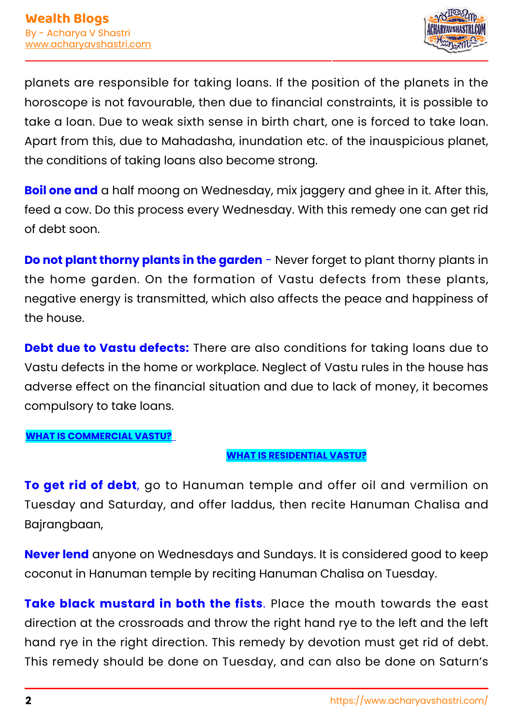

planets are responsible for taking loans. If the position of the planets in the horoscope is not favourable, then due to financial constraints, it is possible to take a loan. Due to weak sixth sense in birth chart, one is forced to take loan. Apart from this, due to Mahadasha, inundation etc. of the inauspicious planet, the conditions of taking loans also become strong.

**Boil one and** a half moong on Wednesday, mix jaggery and ghee in it. After this, feed a cow. Do this process every Wednesday. With this remedy one can get rid of debt soon.

**Do not plant thorny plants in the garden** - Never forget to plant thorny plants in the home garden. On the formation of Vastu defects from these plants, negative energy is transmitted, which also affects the peace and happiness of the house.

**Debt due to Vastu defects:** There are also conditions for taking loans due to Vastu defects in the home or workplace. Neglect of Vastu rules in the house has adverse effect on the financial situation and due to lack of money, it becomes compulsory to take loans.

**[WHAT IS COMMERCIAL VASTU?](https://www.webastrologers.com/vastu/commercial-vastu/)** 

## **[WHAT IS RESIDENTIAL VASTU?](https://www.webastrologers.com/vastu/residential-vastu/)**

**To get rid of debt**, go to Hanuman temple and offer oil and vermilion on Tuesday and Saturday, and offer laddus, then recite Hanuman Chalisa and Bajrangbaan,

**Never lend** anyone on Wednesdays and Sundays. It is considered good to keep coconut in Hanuman temple by reciting Hanuman Chalisa on Tuesday.

**Take black mustard in both the fists**. Place the mouth towards the east direction at the crossroads and throw the right hand rye to the left and the left hand rye in the right direction. This remedy by devotion must get rid of debt. This remedy should be done on Tuesday, and can also be done on Saturn's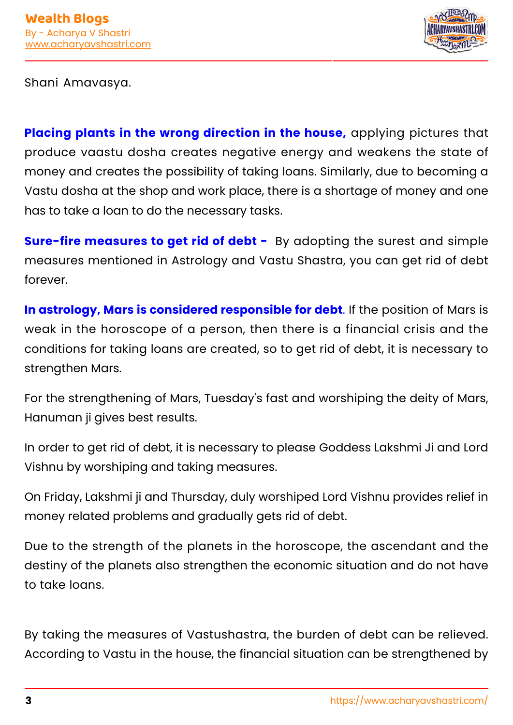

Shani Amavasya.

**Placing plants in the wrong direction in the house,** applying pictures that produce vaastu dosha creates negative energy and weakens the state of money and creates the possibility of taking loans. Similarly, due to becoming a Vastu dosha at the shop and work place, there is a shortage of money and one has to take a loan to do the necessary tasks.

**Sure-fire measures to get rid of debt -** By adopting the surest and simple measures mentioned in Astrology and Vastu Shastra, you can get rid of debt forever.

**In astrology, Mars is considered responsible for debt**. If the position of Mars is weak in the horoscope of a person, then there is a financial crisis and the conditions for taking loans are created, so to get rid of debt, it is necessary to strengthen Mars.

For the strengthening of Mars, Tuesday's fast and worshiping the deity of Mars, Hanuman ji gives best results.

In order to get rid of debt, it is necessary to please Goddess Lakshmi Ji and Lord Vishnu by worshiping and taking measures.

On Friday, Lakshmi ji and Thursday, duly worshiped Lord Vishnu provides relief in money related problems and gradually gets rid of debt.

Due to the strength of the planets in the horoscope, the ascendant and the destiny of the planets also strengthen the economic situation and do not have to take loans.

By taking the measures of Vastushastra, the burden of debt can be relieved. According to Vastu in the house, the financial situation can be strengthened by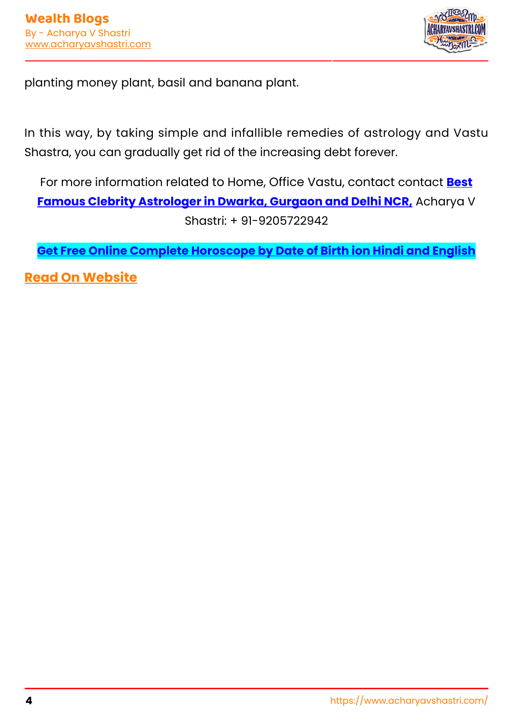

planting money plant, basil and banana plant.

In this way, by taking simple and infallible remedies of astrology and Vastu Shastra, you can gradually get rid of the increasing debt forever.

For more information related to Home, Office Vastu, contact contact **[Best](https://www.acharyavshastri.com/) [Famous Clebrity Astrologer in Dwarka, Gurgaon and Delhi NCR,](https://www.acharyavshastri.com/)** Acharya V Shastri: + 91-9205722942

**[Get Free Online Complete Horoscope by Date of Birth ion Hindi and English](https://www.webastrologers.com/)**

**[Read On Website](https://www.acharyavshastri.com/blog/clear-debts-with-astrology-vastu-help-acharyavshastri/)**